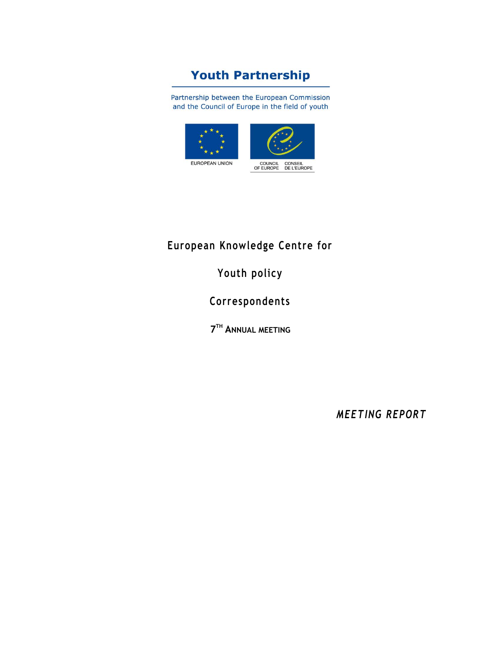# **Youth Partnership**

Partnership between the European Commission and the Council of Europe in the field of youth



# **European Knowledge Centre for**

**Youth policy**

**Correspondents**

**7 TH ANNUAL MEETING**

*MEETING REPORT*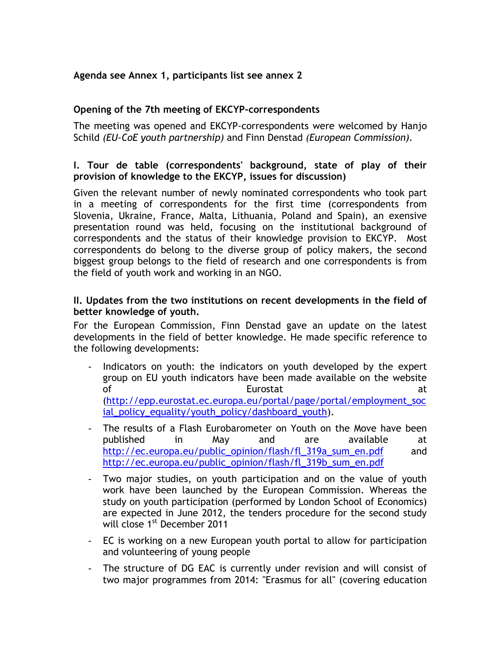# **Agenda see Annex 1, participants list see annex 2**

# **Opening of the 7th meeting of EKCYP-correspondents**

The meeting was opened and EKCYP-correspondents were welcomed by Hanjo Schild *(EU-CoE youth partnership)* and Finn Denstad *(European Commission).* 

# **I. Tour de table (correspondents' background, state of play of their provision of knowledge to the EKCYP, issues for discussion)**

Given the relevant number of newly nominated correspondents who took part in a meeting of correspondents for the first time (correspondents from Slovenia, Ukraine, France, Malta, Lithuania, Poland and Spain), an exensive presentation round was held, focusing on the institutional background of correspondents and the status of their knowledge provision to EKCYP. Most correspondents do belong to the diverse group of policy makers, the second biggest group belongs to the field of research and one correspondents is from the field of youth work and working in an NGO.

# **II. Updates from the two institutions on recent developments in the field of better knowledge of youth.**

For the European Commission, Finn Denstad gave an update on the latest developments in the field of better knowledge. He made specific reference to the following developments:

- Indicators on youth: the indicators on youth developed by the expert group on EU youth indicators have been made available on the website of **Eurostat** at the set of  $\alpha$ [\(http://epp.eurostat.ec.europa.eu/portal/page/portal/employment\\_soc](http://epp.eurostat.ec.europa.eu/portal/page/portal/employment_social_policy_equality/youth_policy/dashboard_youth) [ial\\_policy\\_equality/youth\\_policy/dashboard\\_youth\)](http://epp.eurostat.ec.europa.eu/portal/page/portal/employment_social_policy_equality/youth_policy/dashboard_youth).
- The results of a Flash Eurobarometer on Youth on the Move have been published in May and are available at [http://ec.europa.eu/public\\_opinion/flash/fl\\_319a\\_sum\\_en.pdf](http://ec.europa.eu/public_opinion/flash/fl_319a_sum_en.pdf) and [http://ec.europa.eu/public\\_opinion/flash/fl\\_319b\\_sum\\_en.pdf](http://ec.europa.eu/public_opinion/flash/fl_319b_sum_en.pdf)
- Two major studies, on youth participation and on the value of youth work have been launched by the European Commission. Whereas the study on youth participation (performed by London School of Economics) are expected in June 2012, the tenders procedure for the second study will close 1<sup>st</sup> December 2011
- EC is working on a new European youth portal to allow for participation and volunteering of young people
- The structure of DG EAC is currently under revision and will consist of two major programmes from 2014: "Erasmus for all" (covering education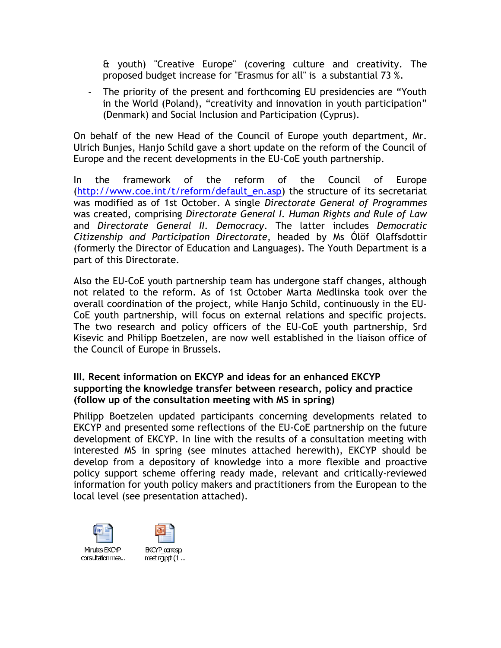& youth) "Creative Europe" (covering culture and creativity. The proposed budget increase for "Erasmus for all" is a substantial 73 %.

- The priority of the present and forthcoming EU presidencies are "Youth in the World (Poland), "creativity and innovation in youth participation" (Denmark) and Social Inclusion and Participation (Cyprus).

On behalf of the new Head of the Council of Europe youth department, Mr. Ulrich Bunjes, Hanjo Schild gave a short update on the reform of the Council of Europe and the recent developments in the EU-CoE youth partnership.

In the framework of the reform of the Council of Europe [\(http://www.coe.int/t/reform/default\\_en.asp\)](http://www.coe.int/t/reform/default_en.asp) the structure of its secretariat was modified as of 1st October. A single *Directorate General of Programmes* was created, comprising *Directorate General I. Human Rights and Rule of Law* and *Directorate General II. Democracy*. The latter includes *Democratic Citizenship and Participation Directorate*, headed by Ms Ólöf Olaffsdottir (formerly the Director of Education and Languages). The Youth Department is a part of this Directorate.

Also the EU-CoE youth partnership team has undergone staff changes, although not related to the reform. As of 1st October [Marta Medlinska](http://youth-partnership-eu.coe.int/youth-partnership/about/managementstructures.html) took over the overall coordination of the project, while [Hanjo Schild,](http://youth-partnership-eu.coe.int/youth-partnership/about/managementstructures.html) continuously in the EU-CoE youth partnership, will focus on external relations and specific projects. The two research and policy officers of the EU-CoE youth partnership, [Srd](http://youth-partnership-eu.coe.int/youth-partnership/about/managementstructures.html)  [Kisevic](http://youth-partnership-eu.coe.int/youth-partnership/about/managementstructures.html) and [Philipp Boetzelen,](http://youth-partnership-eu.coe.int/youth-partnership/about/managementstructures.html) are now well established in the liaison office of the Council of Europe in Brussels.

# **III. Recent information on EKCYP and ideas for an enhanced EKCYP supporting the knowledge transfer between research, policy and practice (follow up of the consultation meeting with MS in spring)**

Philipp Boetzelen updated participants concerning developments related to EKCYP and presented some reflections of the EU-CoE partnership on the future development of EKCYP. In line with the results of a consultation meeting with interested MS in spring (see minutes attached herewith), EKCYP should be develop from a depository of knowledge into a more flexible and proactive policy support scheme offering ready made, relevant and critically-reviewed information for youth policy makers and practitioners from the European to the local level (see presentation attached).





Min tes FKCYP consultation mee...

**EKCYP corresp.**  $meating pt(1...$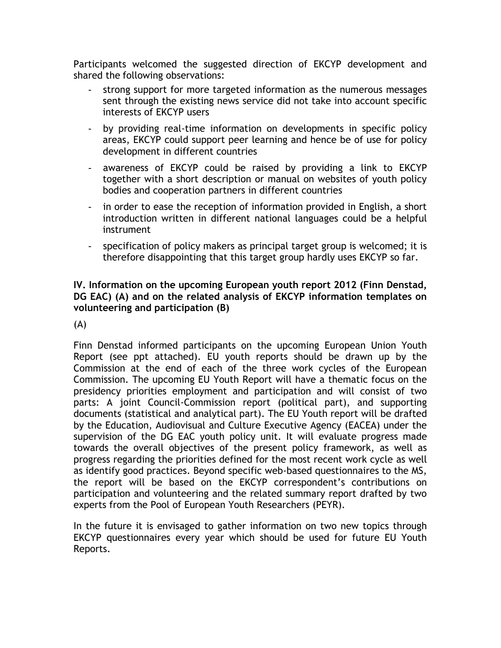Participants welcomed the suggested direction of EKCYP development and shared the following observations:

- strong support for more targeted information as the numerous messages sent through the existing news service did not take into account specific interests of EKCYP users
- by providing real-time information on developments in specific policy areas, EKCYP could support peer learning and hence be of use for policy development in different countries
- awareness of EKCYP could be raised by providing a link to EKCYP together with a short description or manual on websites of youth policy bodies and cooperation partners in different countries
- in order to ease the reception of information provided in English, a short introduction written in different national languages could be a helpful instrument
- specification of policy makers as principal target group is welcomed; it is therefore disappointing that this target group hardly uses EKCYP so far.

# **IV. Information on the upcoming European youth report 2012 (Finn Denstad, DG EAC) (A) and on the related analysis of EKCYP information templates on volunteering and participation (B)**

(A)

Finn Denstad informed participants on the upcoming European Union Youth Report (see ppt attached). EU youth reports should be drawn up by the Commission at the end of each of the three work cycles of the European Commission. The upcoming EU Youth Report will have a thematic focus on the presidency priorities employment and participation and will consist of two parts: A joint Council-Commission report (political part), and supporting documents (statistical and analytical part). The EU Youth report will be drafted by the Education, Audiovisual and Culture Executive Agency (EACEA) under the supervision of the DG EAC youth policy unit. It will evaluate progress made towards the overall objectives of the present policy framework, as well as progress regarding the priorities defined for the most recent work cycle as well as identify good practices. Beyond specific web-based questionnaires to the MS, the report will be based on the EKCYP correspondent's contributions on participation and volunteering and the related summary report drafted by two experts from the Pool of European Youth Researchers (PEYR).

In the future it is envisaged to gather information on two new topics through EKCYP questionnaires every year which should be used for future EU Youth Reports.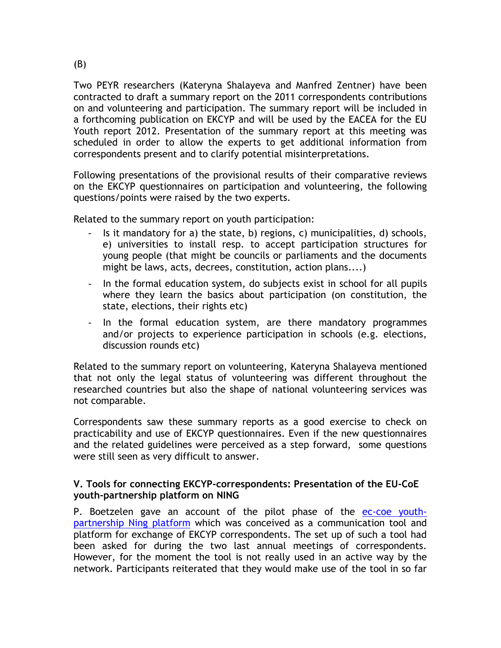Two PEYR researchers (Kateryna Shalayeva and Manfred Zentner) have been contracted to draft a summary report on the 2011 correspondents contributions on and volunteering and participation. The summary report will be included in a forthcoming publication on EKCYP and will be used by the EACEA for the EU Youth report 2012. Presentation of the summary report at this meeting was scheduled in order to allow the experts to get additional information from correspondents present and to clarify potential misinterpretations.

Following presentations of the provisional results of their comparative reviews on the EKCYP questionnaires on participation and volunteering, the following questions/points were raised by the two experts.

Related to the summary report on youth participation:

- Is it mandatory for a) the state, b) regions, c) municipalities, d) schools, e) universities to install resp. to accept participation structures for young people (that might be councils or parliaments and the documents might be laws, acts, decrees, constitution, action plans....)
- In the formal education system, do subjects exist in school for all pupils where they learn the basics about participation (on constitution, the state, elections, their rights etc)
- In the formal education system, are there mandatory programmes and/or projects to experience participation in schools (e.g. elections, discussion rounds etc)

Related to the summary report on volunteering, Kateryna Shalayeva mentioned that not only the legal status of volunteering was different throughout the researched countries but also the shape of national volunteering services was not comparable.

Correspondents saw these summary reports as a good exercise to check on practicability and use of EKCYP questionnaires. Even if the new questionnaires and the related guidelines were perceived as a step forward, some questions were still seen as very difficult to answer.

# **V. Tools for connecting EKCYP-correspondents: Presentation of the EU-CoE youth-partnership platform on NING**

P. Boetzelen gave an account of the pilot phase of the [ec-coe youth](http://youth-knowledge.ning.com/group/ekcypcorrespondents)[partnership Ning platform](http://youth-knowledge.ning.com/group/ekcypcorrespondents) which was conceived as a communication tool and platform for exchange of EKCYP correspondents. The set up of such a tool had been asked for during the two last annual meetings of correspondents. However, for the moment the tool is not really used in an active way by the network. Participants reiterated that they would make use of the tool in so far

(B)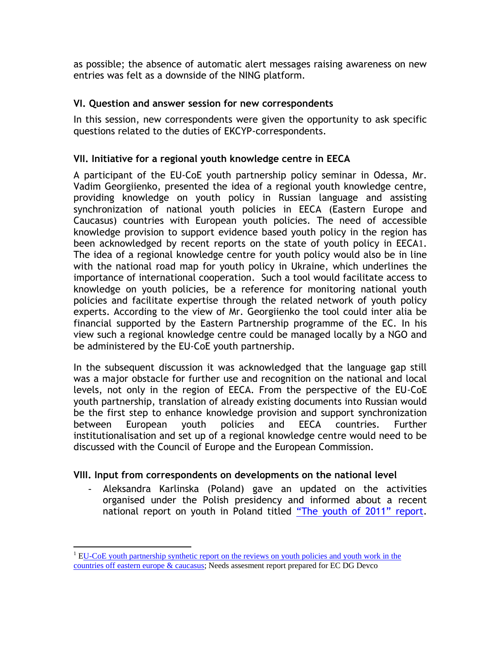as possible; the absence of automatic alert messages raising awareness on new entries was felt as a downside of the NING platform.

# **VI. Question and answer session for new correspondents**

In this session, new correspondents were given the opportunity to ask specific questions related to the duties of EKCYP-correspondents.

# **VII. Initiative for a regional youth knowledge centre in EECA**

A participant of the EU-CoE youth partnership policy seminar in Odessa, Mr. Vadim Georgiienko, presented the idea of a regional youth knowledge centre, providing knowledge on youth policy in Russian language and assisting synchronization of national youth policies in EECA (Eastern Europe and Caucasus) countries with European youth policies. The need of accessible knowledge provision to support evidence based youth policy in the region has been acknowledged by recent reports on the state of youth policy in EECA1. The idea of a regional knowledge centre for youth policy would also be in line with the national road map for youth policy in Ukraine, which underlines the importance of international cooperation. Such a tool would facilitate access to knowledge on youth policies, be a reference for monitoring national youth policies and facilitate expertise through the related network of youth policy experts. According to the view of Mr. Georgiienko the tool could inter alia be financial supported by the Eastern Partnership programme of the EC. In his view such a regional knowledge centre could be managed locally by a NGO and be administered by the EU-CoE youth partnership.

In the subsequent discussion it was acknowledged that the language gap still was a major obstacle for further use and recognition on the national and local levels, not only in the region of EECA. From the perspective of the EU-CoE youth partnership, translation of already existing documents into Russian would be the first step to enhance knowledge provision and support synchronization between European youth policies and EECA countries. Further institutionalisation and set up of a regional knowledge centre would need to be discussed with the Council of Europe and the European Commission.

# **VIII. Input from correspondents on developments on the national level**

- Aleksandra Karlinska (Poland) gave an updated on the activities organised under the Polish presidency and informed about a recent national report on youth in Poland titled ["The youth of 2011" report](http://www.premier.gov.pl/en/press_centre/news/_quot_the_youth_of_2011_quot_,7560/).

 $\overline{a}$ 

<sup>&</sup>lt;sup>1</sup> EU-CoE youth partnership synthetic report on the reviews on youth policies and youth work in the [countries off eastern europe & caucasus;](http://youth-partnership-eu.coe.int/youth-partnership/documents/EECA/EECA_Synthetic_Report_Finalx.pdf) Needs assesment report prepared for EC DG Devco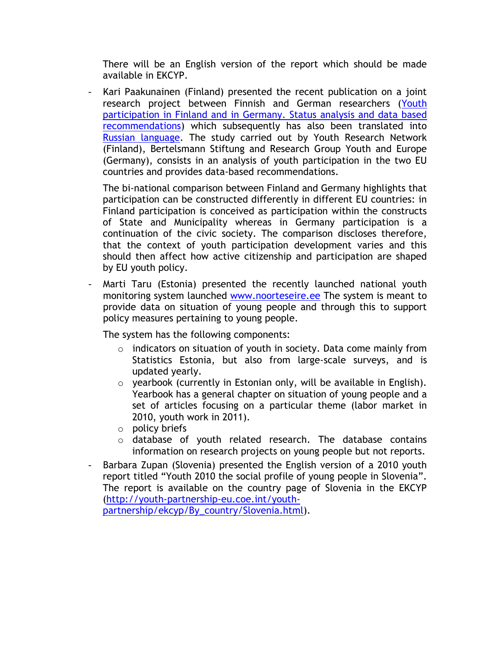There will be an English version of the report which should be made available in EKCYP.

- Kari Paakunainen (Finland) presented the recent publication on a joint research project between Finnish and German researchers [\(Youth](http://youth-partnership-eu.coe.int/youth-partnership/news/attachments/study-on-youth-participation_Germany-Finland.pdf)  [participation in Finland and in Germany. Status analysis and data based](http://youth-partnership-eu.coe.int/youth-partnership/news/attachments/study-on-youth-participation_Germany-Finland.pdf)  [recommendations\)](http://youth-partnership-eu.coe.int/youth-partnership/news/attachments/study-on-youth-participation_Germany-Finland.pdf) which subsequently has also been translated into [Russian language.](http://youth-partnership-eu.coe.int/youth-partnership/documents/EKCYP/Youth_Policy/docs/Citizenship/Research/Youth-participation-in-Finland-and-in-Germany_rus.pdf) The study carried out by Youth Research Network (Finland), Bertelsmann Stiftung and Research Group Youth and Europe (Germany), consists in an analysis of youth participation in the two EU countries and provides data-based recommendations.

The bi-national comparison between Finland and Germany highlights that participation can be constructed differently in different EU countries: in Finland participation is conceived as participation within the constructs of State and Municipality whereas in Germany participation is a continuation of the civic society. The comparison discloses therefore, that the context of youth participation development varies and this should then affect how active citizenship and participation are shaped by EU youth policy.

Marti Taru (Estonia) presented the recently launched national youth monitoring system launched [www.noorteseire.ee](http://www.noorteseire.ee/) The system is meant to provide data on situation of young people and through this to support policy measures pertaining to young people.

The system has the following components:

- o indicators on situation of youth in society. Data come mainly from Statistics Estonia, but also from large-scale surveys, and is updated yearly.
- o yearbook (currently in Estonian only, will be available in English). Yearbook has a general chapter on situation of young people and a set of articles focusing on a particular theme (labor market in 2010, youth work in 2011).
- o policy briefs
- o database of youth related research. The database contains information on research projects on young people but not reports.
- Barbara Zupan (Slovenia) presented the English version of a 2010 youth report titled "Youth 2010 the social profile of young people in Slovenia". The report is available on the country page of Slovenia in the EKCYP [\(http://youth-partnership-eu.coe.int/youth](http://youth-partnership-eu.coe.int/youth-partnership/ekcyp/By_country/Slovenia.html)[partnership/ekcyp/By\\_country/Slovenia.html\)](http://youth-partnership-eu.coe.int/youth-partnership/ekcyp/By_country/Slovenia.html).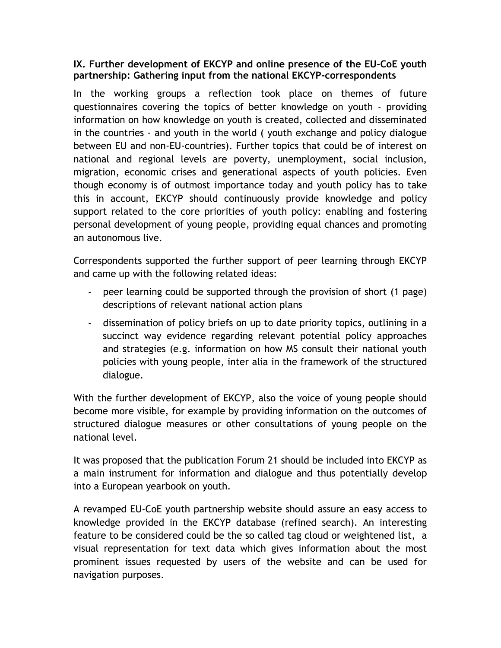# **IX. Further development of EKCYP and online presence of the EU-CoE youth partnership: Gathering input from the national EKCYP-correspondents**

In the working groups a reflection took place on themes of future questionnaires covering the topics of better knowledge on youth - providing information on how knowledge on youth is created, collected and disseminated in the countries - and youth in the world ( youth exchange and policy dialogue between EU and non-EU-countries). Further topics that could be of interest on national and regional levels are poverty, unemployment, social inclusion, migration, economic crises and generational aspects of youth policies. Even though economy is of outmost importance today and youth policy has to take this in account, EKCYP should continuously provide knowledge and policy support related to the core priorities of youth policy: enabling and fostering personal development of young people, providing equal chances and promoting an autonomous live.

Correspondents supported the further support of peer learning through EKCYP and came up with the following related ideas:

- peer learning could be supported through the provision of short (1 page) descriptions of relevant national action plans
- dissemination of policy briefs on up to date priority topics, outlining in a succinct way evidence regarding relevant potential policy approaches and strategies (e.g. information on how MS consult their national youth policies with young people, inter alia in the framework of the structured dialogue.

With the further development of EKCYP, also the voice of young people should become more visible, for example by providing information on the outcomes of structured dialogue measures or other consultations of young people on the national level.

It was proposed that the publication Forum 21 should be included into EKCYP as a main instrument for information and dialogue and thus potentially develop into a European yearbook on youth.

A revamped EU-CoE youth partnership website should assure an easy access to knowledge provided in the EKCYP database (refined search). An interesting feature to be considered could be the so called tag cloud or weightened list, a visual representation for text data which gives information about the most prominent issues requested by users of the website and can be used for navigation purposes.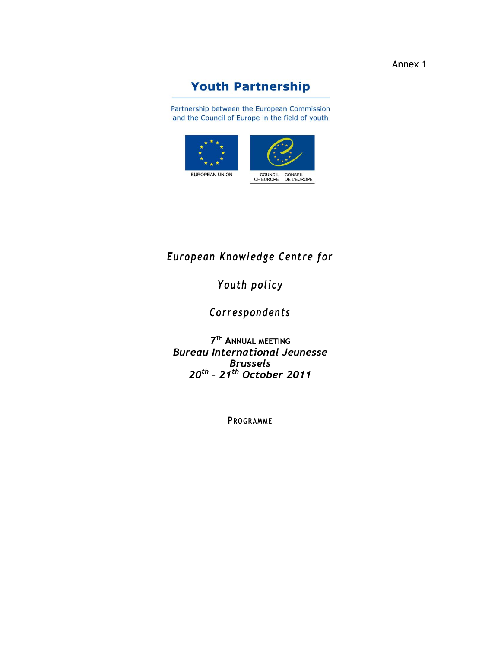Annex 1

# **Youth Partnership**

Partnership between the European Commission and the Council of Europe in the field of youth



# *European Knowledge Centre for*

# *Youth policy*

*Correspondents*

**7 TH ANNUAL MEETING** *Bureau International Jeunesse Brussels 20th - 21th October 2011*

**PROGRAMME**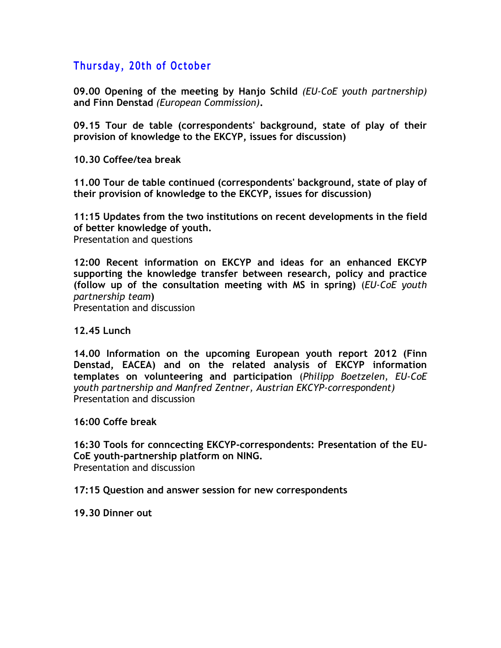# **Thursday, 20th of October**

**09.00 Opening of the meeting by Hanjo Schild** *(EU-CoE youth partnership)* **and Finn Denstad** *(European Commission)***.**

**09.15 Tour de table (correspondents' background, state of play of their provision of knowledge to the EKCYP, issues for discussion)** 

**10.30 Coffee/tea break** 

**11.00 Tour de table continued (correspondents' background, state of play of their provision of knowledge to the EKCYP, issues for discussion)** 

**11:15 Updates from the two institutions on recent developments in the field of better knowledge of youth.** Presentation and questions

**12:00 Recent information on EKCYP and ideas for an enhanced EKCYP supporting the knowledge transfer between research, policy and practice (follow up of the consultation meeting with MS in spring)** (*EU-CoE youth partnership team***)** Presentation and discussion

**12.45 Lunch**

**14.00 Information on the upcoming European youth report 2012 (Finn Denstad, EACEA) and on the related analysis of EKCYP information templates on volunteering and participation** (*Philipp Boetzelen, EU-CoE youth partnership and Manfred Zentner, Austrian EKCYP-correspo*n*dent)* Presentation and discussion

**16:00 Coffe break**

**16:30 Tools for conncecting EKCYP-correspondents: Presentation of the EU-CoE youth-partnership platform on NING.**  Presentation and discussion

**17:15 Question and answer session for new correspondents**

**19.30 Dinner out**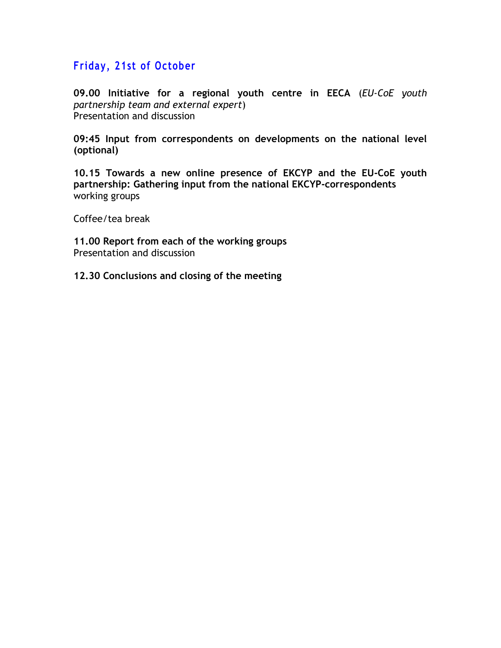# **Friday, 21st of October**

**09.00 Initiative for a regional youth centre in EECA** (*EU-CoE youth partnership team and external expert*) Presentation and discussion

**09:45 Input from correspondents on developments on the national level (optional)**

**10.15 Towards a new online presence of EKCYP and the EU-CoE youth partnership: Gathering input from the national EKCYP-correspondents** working groups

Coffee/tea break

**11.00 Report from each of the working groups** Presentation and discussion

**12.30 Conclusions and closing of the meeting**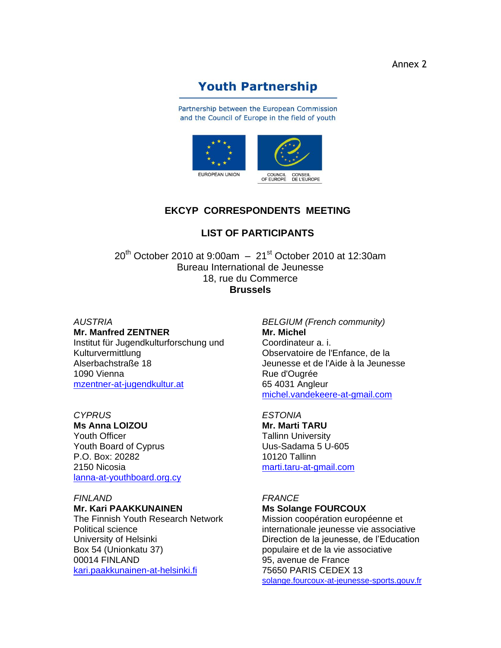# **Youth Partnership**

Partnership between the European Commission and the Council of Europe in the field of youth



# **EKCYP CORRESPONDENTS MEETING**

# **LIST OF PARTICIPANTS**

 $20^{th}$  October 2010 at 9:00am  $-21^{st}$  October 2010 at 12:30am Bureau International de Jeunesse 18, rue du Commerce **Brussels**

#### *AUSTRIA* **Mr. Manfred ZENTNER**

Institut für Jugendkulturforschung und Kulturvermittlung Alserbachstraße 18 1090 Vienna [mzentner-at-jugendkultur.at](mailto:mzentner@jugendkultur.at)

# *CYPRUS*

**Ms Anna LOIZOU** Youth Officer Youth Board of Cyprus P.O. Box: 20282 2150 Nicosia [lanna-at-youthboard.org.cy](mailto:lanna@youthboard.org.cy)

#### *FINLAND*

#### **Mr. Kari PAAKKUNAINEN**

The Finnish Youth Research Network Political science University of Helsinki Box 54 (Unionkatu 37) 00014 FINLAND [kari.paakkunainen-at-helsinki.fi](mailto:kari.paakkunainen@helsinki.fi)

*BELGIUM (French community)* **Mr. Michel**  Coordinateur a. i. Observatoire de l'Enfance, de la Jeunesse et de l'Aide à la Jeunesse Rue d'Ougrée 65 4031 Angleur [michel.vandekeere-at-gmail.com](mailto:michel.vandekeere@gmail.comMichel.vandekeere@cfwb.be)

#### *ESTONIA* **Mr. Marti TARU**  Tallinn University Uus-Sadama 5 U-605 10120 Tallinn [marti.taru-at-gmail.com](mailto:marti@iiss.ee)

# *FRANCE*

# **Ms Solange FOURCOUX**

Mission coopération européenne et internationale jeunesse vie associative Direction de la jeunesse, de l'Education populaire et de la vie associative 95, avenue de France 75650 PARIS CEDEX 13 [solange.fourcoux-at-jeunesse-sports.gouv.fr](mailto:solange.fourcoux@jeunesse-sports.gouv.fr)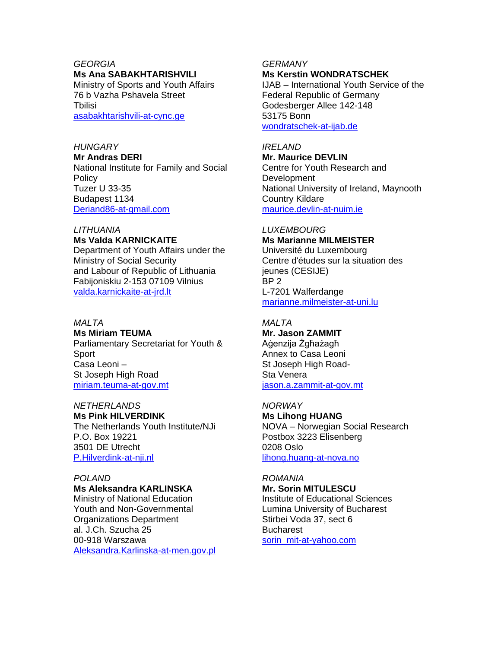# *GEORGIA*

#### **Ms Ana SABAKHTARISHVILI**

Ministry of Sports and Youth Affairs 76 b Vazha Pshavela Street Tbilisi asabakhtarishvili-at-cync.ge

# *HUNGARY*

**Mr Andras DERI** National Institute for Family and Social **Policy** Tuzer U 33-35 Budapest 1134 [Deriand86-at-gmail.com](mailto:Deriand86@gmail.com)

# *LITHUANIA* **Ms Valda KARNICKAITE**

Department of Youth Affairs under the Ministry of Social Security and Labour of Republic of Lithuania Fabijoniskiu 2-153 07109 Vilnius [valda.karnickaite-at-jrd.lt](mailto:valda.karnickaite@jrd.lt)

# *MALTA*

**Ms Miriam TEUMA**  Parliamentary Secretariat for Youth & Sport Casa Leoni – St Joseph High Road miriam.teuma-at-gov.mt

#### *NETHERLANDS* **Ms Pink HILVERDINK**  The Netherlands Youth Institute/NJi P.O. Box 19221 3501 DE Utrecht [P.Hilverdink-at-nji.nl](mailto:P.Hilverdink@nji.nl)

# *POLAND*

# **Ms Aleksandra KARLINSKA**

Ministry of National Education Youth and Non-Governmental Organizations Department al. J.Ch. Szucha 25 00-918 Warszawa [Aleksandra.Karlinska-at-men.gov.pl](mailto:Aleksandra.Karlinska@men.gov.pl)

#### *GERMANY*

#### **Ms Kerstin WONDRATSCHEK**

IJAB – International Youth Service of the Federal Republic of Germany Godesberger Allee 142-148 53175 Bonn [wondratschek-at-ijab.de](mailto:wondratschek@ijab.de)

#### *IRELAND*

**Mr. Maurice DEVLIN**  Centre for Youth Research and Development National University of Ireland, Maynooth Country Kildare [maurice.devlin-at-nuim.ie](mailto:maurice.devlin@nuim.ie)

# *LUXEMBOURG*

**Ms Marianne MILMEISTER**  Université du Luxembourg Centre d'études sur la situation des jeunes (CESIJE) BP 2 L-7201 Walferdange [marianne.milmeister-at-uni.lu](mailto:marianne.milmeister@uni.lu)

# *MALTA*

**Mr. Jason ZAMMIT**  Aġenzija Żgħażagħ Annex to Casa Leoni St Joseph High Road-Sta Venera [jason.a.zammit-at-gov.mt](mailto:jason.a.zammit@gov.mt)

# *NORWAY*

**Ms Lihong HUANG**  NOVA – Norwegian Social Research Postbox 3223 Elisenberg 0208 Oslo [lihong.huang-at-nova.no](mailto:lihong.huang@nova.no)

# *ROMANIA*

**Mr. Sorin MITULESCU**  Institute of Educational Sciences Lumina University of Bucharest Stirbei Voda 37, sect 6 **Bucharest** [sorin\\_mit-at-yahoo.com](mailto:sorin_mit@yahoo.com)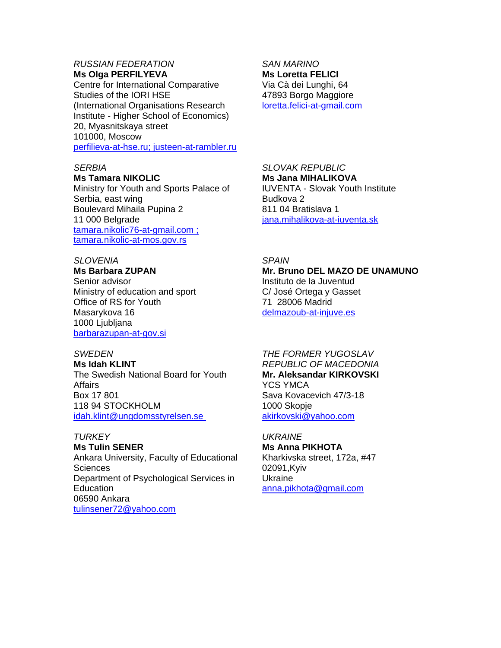# *RUSSIAN FEDERATION*

**Ms Olga PERFILYEVA**  Centre for International Comparative Studies of the IORI HSE (International Organisations Research Institute - Higher School of Economics) 20, Myasnitskaya street 101000, Moscow [perfilieva-at-hse.ru; justeen-at-rambler.ru](mailto:perfilieva@hse.ru;%20justeen@rambler.ru)

# *SERBIA*

#### **Ms Tamara NIKOLIC**

Ministry for Youth and Sports Palace of Serbia, east wing Boulevard Mihaila Pupina 2 11 000 Belgrade [tamara.nikolic76-at-gmail.com](mailto:tamara.nikolic76@gmail.com ;%20tamara.nikolic@mos.gov.rs) ; [tamara.nikolic-at-mos.gov.rs](mailto:tamara.nikolic76@gmail.com ;%20tamara.nikolic@mos.gov.rs)

#### *SLOVENIA*

**Ms Barbara ZUPAN** Senior advisor Ministry of education and sport Office of RS for Youth Masarykova 16 1000 Ljubljana [barbarazupan-at-gov.si](mailto:barbarazupan@gov.si)

#### *SWEDEN*

**Ms Idah KLINT**  The Swedish National Board for Youth Affairs Box 17 801 118 94 STOCKHOLM [idah.klint@ungdomsstyrelsen.se](mailto:idah.klint@ungdomsstyrelsen.se)

#### *TURKEY*

**Ms Tulin SENER**  Ankara University, Faculty of Educational **Sciences** Department of Psychological Services in **Education** 06590 Ankara tulinsener72@yahoo.com

*SAN MARINO* **Ms Loretta FELICI**  Via Cà dei Lunghi, 64 47893 Borgo Maggiore [loretta.felici-at-gmail.com](mailto:loretta.felici@gmail.com)

## *SLOVAK REPUBLIC* **Ms Jana MIHALIKOVA**  IUVENTA - Slovak Youth Institute Budkova 2 811 04 Bratislava 1 [jana.mihalikova-at-iuventa.sk](mailto:jana.mihalikova@iuventa.sk)

## *SPAIN*

**Mr. Bruno DEL MAZO DE UNAMUNO**  Instituto de la Juventud C/ José Ortega y Gasset 71 28006 Madrid [delmazoub-at-injuve.es](mailto:delmazoub@injuve.es)

#### *THE FORMER YUGOSLAV REPUBLIC OF MACEDONIA* **Mr. Aleksandar KIRKOVSKI**  YCS YMCA Sava Kovacevich 47/3-18 1000 Skopje [akirkovski@yahoo.com](mailto:akirkovski@yahoo.com)

# *UKRAINE*

**Ms Anna PIKHOTA** Kharkivska street, 172a, #47 02091,Kyiv Ukraine anna.pikhota@gmail.com